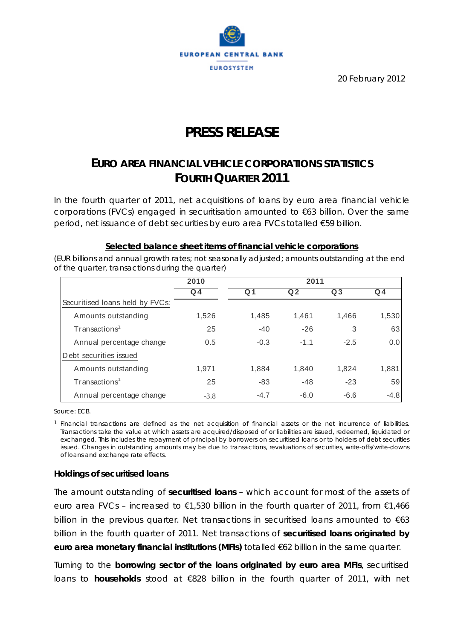

20 February 2012

# **PRESS RELEASE**

## **EURO AREA FINANCIAL VEHICLE CORPORATIONS STATISTICS FOURTH QUARTER 2011**

*In the fourth quarter of 2011, net acquisitions of loans by euro area financial vehicle corporations (FVCs) engaged in securitisation amounted to €63 billion. Over the same period, net issuance of debt securities by euro area FVCs totalled €59 billion.* 

#### **Selected balance sheet items of financial vehicle corporations**

*(EUR billions and annual growth rates; not seasonally adjusted; amounts outstanding at the end of the quarter, transactions during the quarter)*

|                                 | 2010   |        | 2011           |                |        |  |  |  |
|---------------------------------|--------|--------|----------------|----------------|--------|--|--|--|
|                                 | $Q_4$  | Q 1    | Q <sub>2</sub> | Q <sub>3</sub> | $Q_4$  |  |  |  |
| Securitised Ioans held by FVCs: |        |        |                |                |        |  |  |  |
| Amounts outstanding             | 1,526  | 1,485  | 1,461          | 1,466          | 1,530  |  |  |  |
| Transactions <sup>1</sup>       | 25     | $-40$  | $-26$          | 3              | 63     |  |  |  |
| Annual percentage change        | 0.5    | $-0.3$ | $-1.1$         | $-2.5$         | 0.0    |  |  |  |
| Debt securities issued          |        |        |                |                |        |  |  |  |
| Amounts outstanding             | 1,971  | 1,884  | 1,840          | 1,824          | 1,881  |  |  |  |
| Transactions <sup>1</sup>       | 25     | $-83$  | $-48$          | $-23$          | 59     |  |  |  |
| Annual percentage change        | $-3.8$ | $-4.7$ | $-6.0$         | $-6.6$         | $-4.8$ |  |  |  |

Source: ECB.

1 Financial transactions are defined as the net acquisition of financial assets or the net incurrence of liabilities. Transactions take the value at which assets are acquired/disposed of or liabilities are issued, redeemed, liquidated or exchanged. This includes the repayment of principal by borrowers on securitised loans or to holders of debt securities issued. Changes in outstanding amounts may be due to transactions, revaluations of securities, write-offs/write-downs of loans and exchange rate effects.

#### **Holdings of securitised loans**

The amount outstanding of **securitised loans** – which account for most of the assets of euro area FVCs – increased to  $\epsilon$ 1,530 billion in the fourth quarter of 2011, from  $\epsilon$ 1,466 billion in the previous quarter. Net transactions in securitised loans amounted to  $\epsilon$ 63 billion in the fourth quarter of 2011. Net transactions of **securitised loans originated by euro area monetary financial institutions (MFIs)** totalled €62 billion in the same quarter.

Turning to the **borrowing sector of the loans originated by euro area MFIs**, securitised loans to **households** stood at €828 billion in the fourth quarter of 2011, with net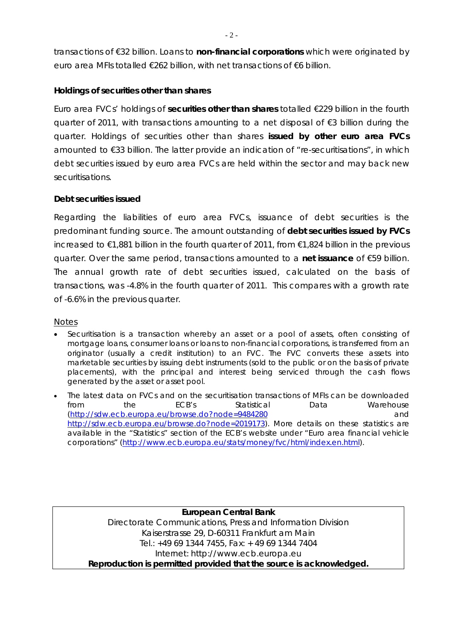transactions of €32 billion. Loans to **non-financial corporations** which were originated by euro area MFIs totalled €262 billion, with net transactions of €6 billion.

### **Holdings of securities other than shares**

Euro area FVCs' holdings of **securities other than shares** totalled €229 billion in the fourth quarter of 2011, with transactions amounting to a net disposal of €3 billion during the quarter. Holdings of securities other than shares **issued by other euro area FVCs** amounted to €33 billion. The latter provide an indication of "re-securitisations", in which debt securities issued by euro area FVCs are held within the sector and may back new securitisations.

#### **Debt securities issued**

Regarding the liabilities of euro area FVCs, issuance of debt securities is the predominant funding source. The amount outstanding of **debt securities issued by FVCs**  increased to €1,881 billion in the fourth quarter of 2011, from €1,824 billion in the previous quarter. Over the same period, transactions amounted to a **net issuance** of €59 billion. The annual growth rate of debt securities issued, calculated on the basis of transactions, was -4.8% in the fourth quarter of 2011. This compares with a growth rate of -6.6% in the previous quarter.

#### Notes

- Securitisation is a transaction whereby an asset or a pool of assets, often consisting of mortgage loans, consumer loans or loans to non-financial corporations, is transferred from an originator (usually a credit institution) to an FVC. The FVC converts these assets into marketable securities by issuing debt instruments (sold to the public or on the basis of private placements), with the principal and interest being serviced through the cash flows generated by the asset or asset pool.
- The latest data on FVCs and on the securitisation transactions of MFIs can be downloaded from the ECB's Statistical Data Warehouse (http://sdw.ecb.europa.eu/browse.do?node=9484280 and http://sdw.ecb.europa.eu/browse.do?node=2019173). More details on these statistics are available in the "Statistics" section of the ECB's website under "Euro area financial vehicle corporations" (http://www.ecb.europa.eu/stats/money/fvc/html/index.en.html).

**European Central Bank**  Directorate Communications, Press and Information Division Kaiserstrasse 29, D-60311 Frankfurt am Main Tel.: +49 69 1344 7455, Fax: + 49 69 1344 7404 Internet: http://www.ecb.europa.eu **Reproduction is permitted provided that the source is acknowledged.**